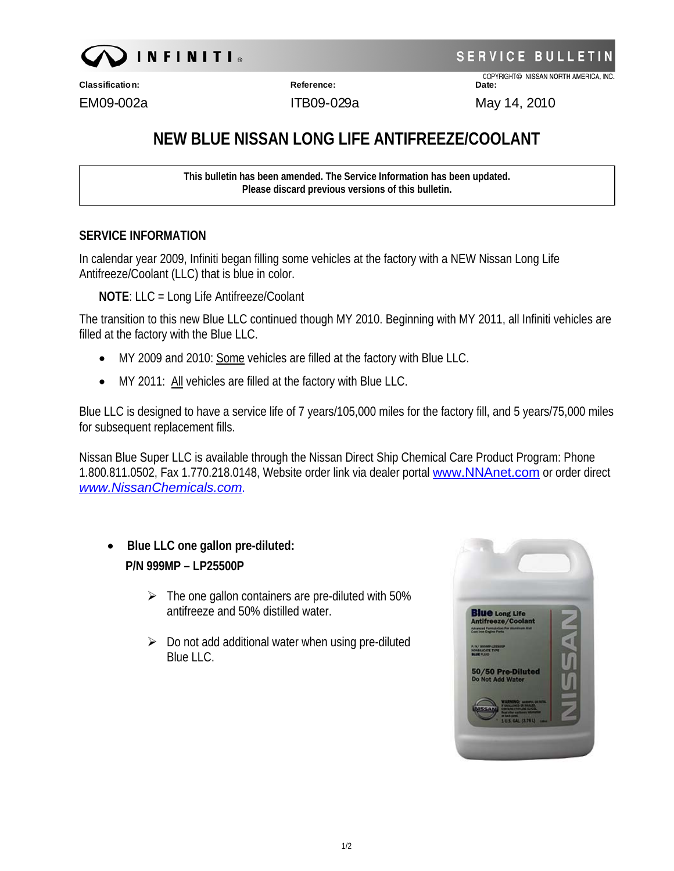

**SERVICE BULLET** 

COPYRIGHT© NISSAN NORTH AMERICA, INC.

**Classification: Reference: Date:**

10 EM09-002a ITB09-029a May 14, 20

## **NEW BLUE NISSAN LONG LIFE ANTIFREEZE/COOLANT**

**This bulletin has been amended. The Service Information has been updated. Please discard previous versions of this bulletin.** 

## **SERVICE INFORMATION**

In calendar year 2009, Infiniti began filling some vehicles at the factory with a NEW Nissan Long Life Antifreeze/Coolant (LLC) that is blue in color.

**NOTE**: LLC = Long Life Antifreeze/Coolant

The transition to this new Blue LLC continued though MY 2010. Beginning with MY 2011, all Infiniti vehicles are filled at the factory with the Blue LLC.

- MY 2009 and 2010: Some vehicles are filled at the factory with Blue LLC.
- MY 2011: All vehicles are filled at the factory with Blue LLC.

Blue LLC is designed to have a service life of 7 years/105,000 miles for the factory fill, and 5 years/75,000 miles for subsequent replacement fills.

Nissan Blue Super LLC is available through the Nissan Direct Ship Chemical Care Product Program: Phone 1.800.811.0502, Fax 1.770.218.0148, Website order link via dealer portal [www.NNAnet.com](http://www.nnanet.com/) or order direct *[www.NissanChemicals.com](http://www.nissanchemicals.com/)*.

- **Blue LLC one gallon pre-diluted: P/N 999MP – LP25500P** 
	- $\triangleright$  The one gallon containers are pre-diluted with 50% antifreeze and 50% distilled water.
	- $\triangleright$  Do not add additional water when using pre-diluted Blue LLC.